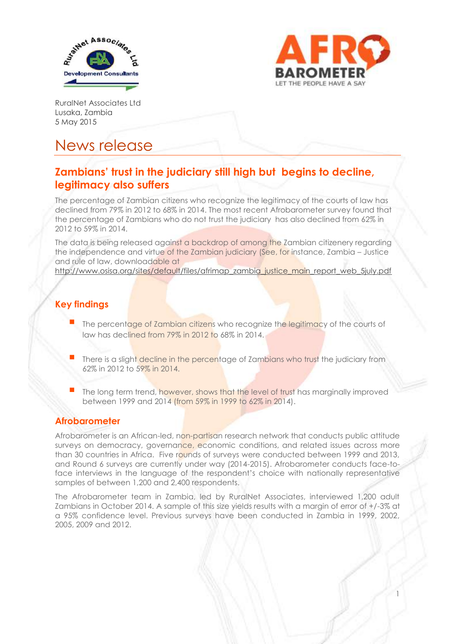



1

RuralNet Associates Ltd Lusaka, Zambia 5 May 2015

# News release

## **Zambians' trust in the judiciary still high but begins to decline, legitimacy also suffers**

The percentage of Zambian citizens who recognize the legitimacy of the courts of law has declined from 79% in 2012 to 68% in 2014. The most recent Afrobarometer survey found that the percentage of Zambians who do not trust the judiciary has also declined from 62% in 2012 to 59% in 2014.

The data is being released against a backdrop of among the Zambian citizenery regarding the independence and virtue of the Zambian judiciary (See, for instance, Zambia – Justice and rule of law, downloadable at

http://www.osisa.org/sites/default/files/afrimap\_zambia\_justice\_main\_report\_web\_5july.pdf

### **Key findings**

- The percentage of Zambian citizens who recognize the legitimacy of the courts of law has declined from 79% in 2012 to 68% in 2014.
- There is a slight decline in the percentage of Zambians who trust the judiciary from 62% in 2012 to 59% in 2014.
- The long term trend, however, shows that the level of trust has marginally improved between 1999 and 2014 (from 59% in 1999 to 62% in 2014).

#### **Afrobarometer**

Afrobarometer is an African-led, non-partisan research network that conducts public attitude surveys on democracy, governance, economic conditions, and related issues across more than 30 countries in Africa. Five rounds of surveys were conducted between 1999 and 2013, and Round 6 surveys are currently under way (2014-2015). Afrobarometer conducts face-toface interviews in the language of the respondent's choice with nationally representative samples of between 1,200 and 2,400 respondents.

The Afrobarometer team in Zambia, led by RuralNet Associates, interviewed 1,200 adult Zambians in October 2014. A sample of this size yields results with a margin of error of +/-3% at a 95% confidence level. Previous surveys have been conducted in Zambia in 1999, 2002, 2005, 2009 and 2012.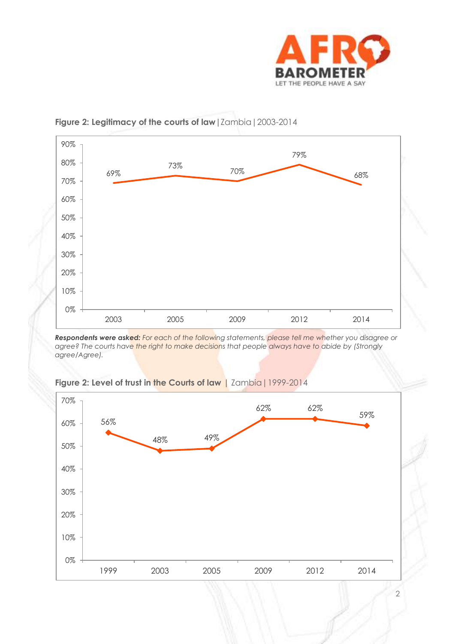



#### **Figure 2: Legitimacy of the courts of law|**Zambia|2003-2014

*Respondents were asked: For each of the following statements, please tell me whether you disagree or agree? The courts have the right to make decisions that people always have to abide by (Strongly agree/Agree).*